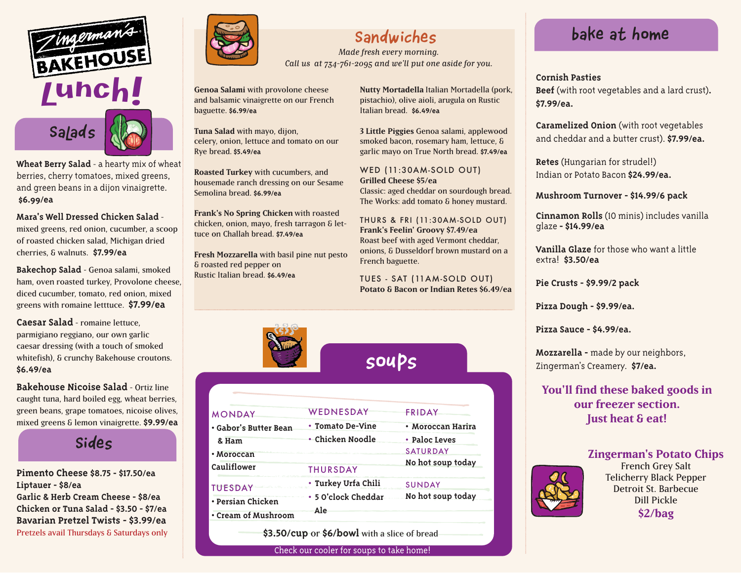

**Wheat Berry Salad** - a hearty mix of wheat berries, cherry tomatoes, mixed greens, and green beans in a dijon vinaigrette. **\$6.99/ea**

**Mara's Well Dressed Chicken Salad**  mixed greens, red onion, cucumber, a scoop of roasted chicken salad, Michigan dried cherries, & walnuts. **\$7.99/ea**

**Bakechop Salad** - Genoa salami, smoked ham, oven roasted turkey, Provolone cheese, diced cucumber, tomato, red onion, mixed greens with romaine letttuce. **\$7.99/ea**

**Caesar Salad** - romaine lettuce, parmigiano reggiano, our own garlic caesar dressing (with a touch of smoked whitefish), & crunchy Bakehouse croutons. **\$6.49/ea**

**Bakehouse Nicoise Salad** - Ortiz line caught tuna, hard boiled egg, wheat berries, green beans, grape tomatoes, nicoise olives, mixed greens & lemon vinaigrette. **\$9.99/ea**

**Sides**

**Pimento Cheese \$8.75 - \$17.50/ea Liptauer - \$8/ea Garlic & Herb Cream Cheese - \$8/ea Chicken or Tuna Salad - \$3.50 - \$7/ea Bavarian Pretzel Twists - \$3.99/ea** Pretzels avail Thursdays & Saturdays only



## **Sandwiches**

*Made fresh every morning. Call us at 734-761-2095 and we'll put one aside for you.*

**Genoa Salami** with provolone cheese and balsamic vinaigrette on our French baguette. **\$6.99/ea** 

**Tuna Salad** with mayo, dijon, celery, onion, lettuce and tomato on our Rye bread. **\$5.49/ea** 

**Roasted Turkey** with cucumbers, and housemade ranch dressing on our Sesame Semolina bread. **\$6.99/ea** 

**Frank's No Spring Chicken** with roasted chicken, onion, mayo, fresh tarragon & lettuce on Challah bread. **\$7.49/ea**

**Fresh Mozzarella** with basil pine nut pesto & roasted red pepper on Rustic Italian bread. **\$6.49/ea**

**Nutty Mortadella** Italian Mortadella (pork, pistachio), olive aioli, arugula on Rustic Italian bread. **\$6.49/ea**

**3 Little Piggies** Genoa salami, applewood smoked bacon, rosemary ham, lettuce, & garlic mayo on True North bread. **\$7.49/ea**

WED (11:30AM-SOLD OUT) **Grilled Cheese \$5/ea** Classic: aged cheddar on sourdough bread. The Works: add tomato & honey mustard.

THURS & FRI (11:30AM-SOLD OUT) **Frank's Feelin' Groovy \$7.49/ea** Roast beef with aged Vermont cheddar, onions, & Dusseldorf brown mustard on a French baguette.

TUES - SAT (11AM-SOLD OUT) **Potato & Bacon or Indian Retes \$6.49/ea**



**soups**

| <b>MONDAY</b>                            | WEDNESDAY                  | FRIDAY            |
|------------------------------------------|----------------------------|-------------------|
| • Gabor's Butter Bean                    | • Tomato De-Vine           | • Moroccan Harira |
| & Ham                                    | • Chicken Noodle           | • Paloc Leves     |
| • Moroccan                               |                            | <b>SATURDAY</b>   |
| Cauliflower                              | <b>THURSDAY</b>            | No hot soup today |
| <b>TUESDAY</b>                           | • Turkey Urfa Chili        | <b>SUNDAY</b>     |
| • Persian Chicken<br>• Cream of Mushroom | • 5 O'clock Cheddar<br>Ale | No hot soup today |

**\$3.50/cup** or **\$6/bowl** with a slice of bread

Check our cooler for soups to take home!

## **Bake at home**

**Beef** (with root vegetables and a lard crust)**. \$7.99/ea.**

**Caramelized Onion** (with root vegetables and cheddar and a butter crust). **\$7.99/ea.**

**Retes** (Hungarian for strudel!) Indian or Potato Bacon **\$24.99/ea.**

**Mushroom Turnover - \$14.99/6 pack**

**Cinnamon Rolls** (10 minis) includes vanilla glaze **- \$14.99/ea**

**Vanilla Glaze** for those who want a little extra! **\$3.50/ea**

**Pie Crusts - \$9.99/2 pack**

**Pizza Dough - \$9.99/ea.**

**Pizza Sauce - \$4.99/ea.**

**Mozzarella -** made by our neighbors, Zingerman's Creamery. **\$7/ea.**

**You'll find these baked goods in our freezer section. Just heat & eat!** 

#### **Zingerman's Potato Chips**



French Grey Salt Telicherry Black Pepper Detroit St. Barbecue Dill Pickle **\$2/bag**